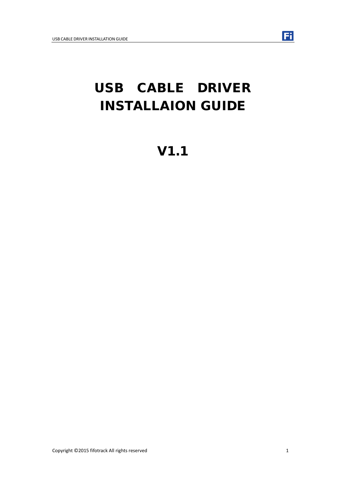# USB CABLE DRIVER INSTALLAION GUIDE

V1.1

Fi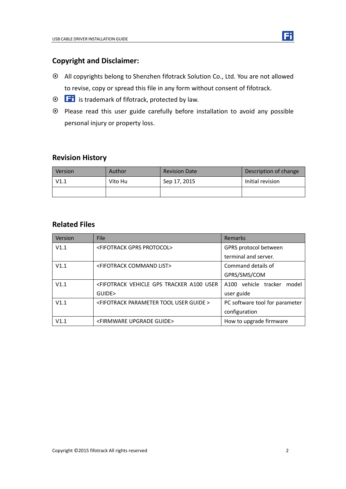

- All copyrights belong to Shenzhen fifotrack Solution Co., Ltd. You are not allowed to revise, copy or spread this file in any form without consent of fifotrack.
- $\odot$   $\Box$  is trademark of fifotrack, protected by law.
- Please read this user guide carefully before installation to avoid any possible personal injury or property loss.

# **Revision History**

| Version | Author  | <b>Revision Date</b> | Description of change |
|---------|---------|----------------------|-----------------------|
| V1.1    | Vito Hu | Sep 17, 2015         | Initial revision      |
|         |         |                      |                       |

## **Related Files**

| Version | <b>File</b>                                                                                                            | Remarks                          |
|---------|------------------------------------------------------------------------------------------------------------------------|----------------------------------|
| V1.1    | <fifotrack gprs="" protocol=""></fifotrack>                                                                            | GPRS protocol between            |
|         |                                                                                                                        | terminal and server.             |
| V1.1    | <fifotrack command="" list=""></fifotrack>                                                                             | Command details of               |
|         |                                                                                                                        | GPRS/SMS/COM                     |
| V1.1    | <fifotrack a100="" gps="" td="" tracker="" user<="" vehicle=""><td>vehicle tracker<br/>A100<br/>model</td></fifotrack> | vehicle tracker<br>A100<br>model |
|         | GUIDE>                                                                                                                 | user guide                       |
| V1.1    | <fifotrack guide="" parameter="" tool="" user=""></fifotrack>                                                          | PC software tool for parameter   |
|         |                                                                                                                        | configuration                    |
| V1.1    | <firmware guide="" upgrade=""></firmware>                                                                              | How to upgrade firmware          |

Fi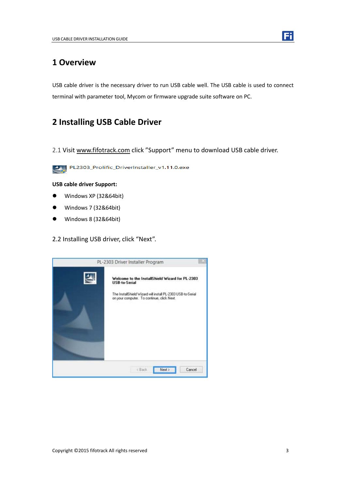

USB cable driver is the necessary driver to run USB cable well. The USB cable is used to connect terminal with parameter tool, Mycom or firmware upgrade suite software on PC.

# **2 Installing USB Cable Driver**

2.1 Visit [www.fifotrack.com](http://www.fifotrack.com/) click "Support" menu to download USB cable driver.



PL2303\_Prolific\_DriverInstaller\_v1.11.0.exe

#### **USB cable driver Support:**

- Windows XP (32&64bit)
- Windows 7 (32&64bit)
- Windows 8 (32&64bit)

### 2.2 Installing USB driver, click "Next".



Fil